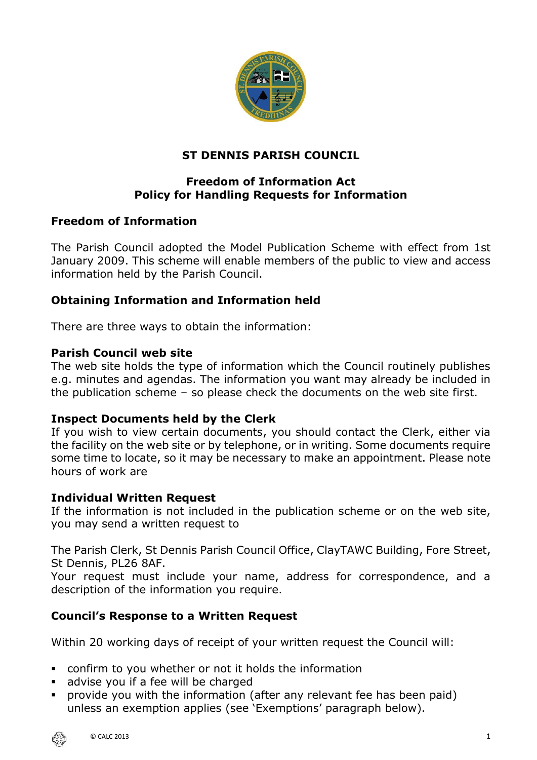

# **ST DENNIS PARISH COUNCIL**

# **Freedom of Information Act Policy for Handling Requests for Information**

# **Freedom of Information**

The Parish Council adopted the Model Publication Scheme with effect from 1st January 2009. This scheme will enable members of the public to view and access information held by the Parish Council.

### **Obtaining Information and Information held**

There are three ways to obtain the information:

#### **Parish Council web site**

The web site holds the type of information which the Council routinely publishes e.g. minutes and agendas. The information you want may already be included in the publication scheme – so please check the documents on the web site first.

#### **Inspect Documents held by the Clerk**

If you wish to view certain documents, you should contact the Clerk, either via the facility on the web site or by telephone, or in writing. Some documents require some time to locate, so it may be necessary to make an appointment. Please note hours of work are

#### **Individual Written Request**

If the information is not included in the publication scheme or on the web site, you may send a written request to

The Parish Clerk, St Dennis Parish Council Office, ClayTAWC Building, Fore Street, St Dennis, PL26 8AF.

Your request must include your name, address for correspondence, and a description of the information you require.

# **Council's Response to a Written Request**

Within 20 working days of receipt of your written request the Council will:

- confirm to you whether or not it holds the information
- advise you if a fee will be charged
- provide you with the information (after any relevant fee has been paid) unless an exemption applies (see 'Exemptions' paragraph below).

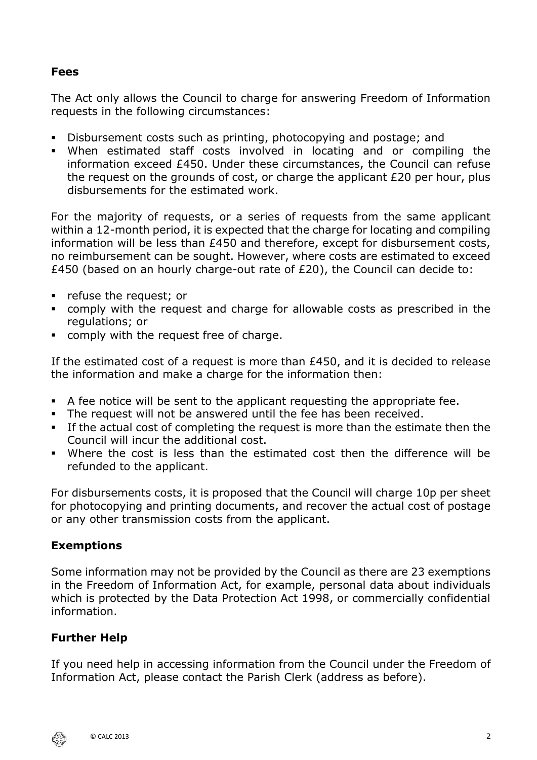### **Fees**

The Act only allows the Council to charge for answering Freedom of Information requests in the following circumstances:

- Disbursement costs such as printing, photocopying and postage; and
- When estimated staff costs involved in locating and or compiling the information exceed £450. Under these circumstances, the Council can refuse the request on the grounds of cost, or charge the applicant £20 per hour, plus disbursements for the estimated work.

For the majority of requests, or a series of requests from the same applicant within a 12-month period, it is expected that the charge for locating and compiling information will be less than £450 and therefore, except for disbursement costs, no reimbursement can be sought. However, where costs are estimated to exceed £450 (based on an hourly charge-out rate of £20), the Council can decide to:

- refuse the request; or
- comply with the request and charge for allowable costs as prescribed in the regulations; or
- comply with the request free of charge.

If the estimated cost of a request is more than £450, and it is decided to release the information and make a charge for the information then:

- A fee notice will be sent to the applicant requesting the appropriate fee.
- The request will not be answered until the fee has been received.
- **.** If the actual cost of completing the request is more than the estimate then the Council will incur the additional cost.
- Where the cost is less than the estimated cost then the difference will be refunded to the applicant.

For disbursements costs, it is proposed that the Council will charge 10p per sheet for photocopying and printing documents, and recover the actual cost of postage or any other transmission costs from the applicant.

# **Exemptions**

Some information may not be provided by the Council as there are 23 exemptions in the Freedom of Information Act, for example, personal data about individuals which is protected by the Data Protection Act 1998, or commercially confidential information.

# **Further Help**

If you need help in accessing information from the Council under the Freedom of Information Act, please contact the Parish Clerk (address as before).